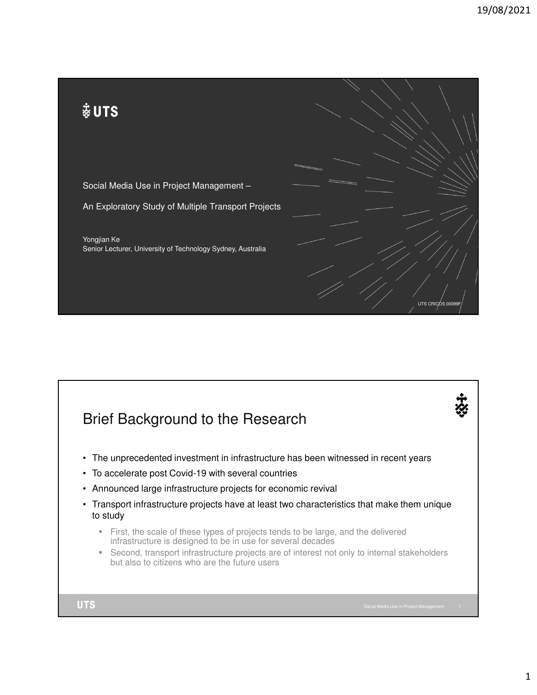UTS CRICOS 00

## **‡UTS**



An Exploratory Study of Multiple Transport Projects

Yongjian Ke Senior Lecturer, University of Technology Sydney, Australia

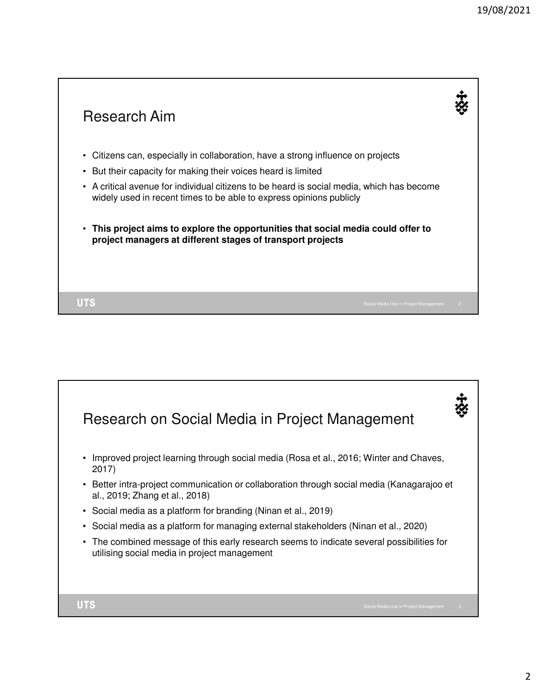

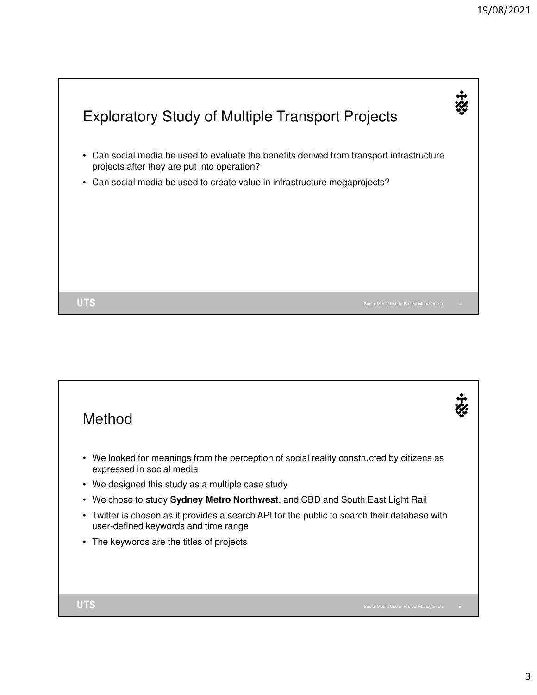

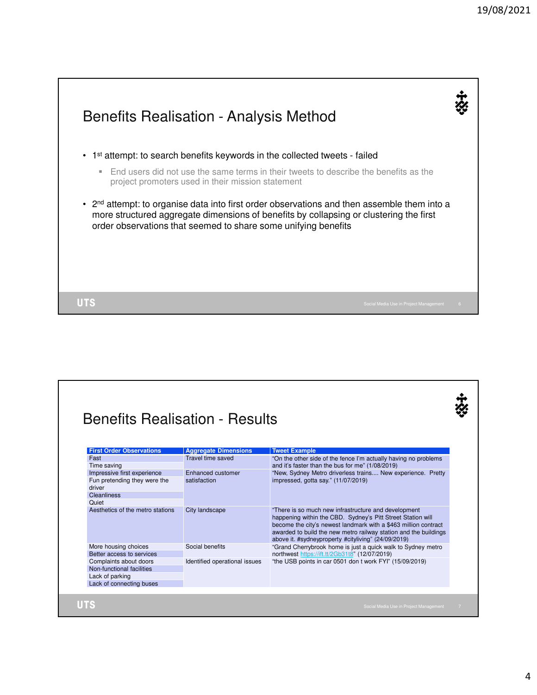

| <b>Benefits Realisation - Results</b>       |                               |                                                                                                                                                                                                                                                                                                                   |
|---------------------------------------------|-------------------------------|-------------------------------------------------------------------------------------------------------------------------------------------------------------------------------------------------------------------------------------------------------------------------------------------------------------------|
|                                             |                               |                                                                                                                                                                                                                                                                                                                   |
|                                             |                               |                                                                                                                                                                                                                                                                                                                   |
| <b>First Order Observations</b>             | <b>Aggregate Dimensions</b>   | <b>Tweet Example</b>                                                                                                                                                                                                                                                                                              |
| Fast                                        | Travel time saved             | "On the other side of the fence I'm actually having no problems                                                                                                                                                                                                                                                   |
| Time saving                                 |                               | and it's faster than the bus for me" (1/08/2019)                                                                                                                                                                                                                                                                  |
| Impressive first experience                 | Enhanced customer             | "New, Sydney Metro driverless trains New experience. Pretty                                                                                                                                                                                                                                                       |
| Fun pretending they were the<br>driver      | satisfaction                  | impressed, gotta say." (11/07/2019)                                                                                                                                                                                                                                                                               |
| Cleanliness                                 |                               |                                                                                                                                                                                                                                                                                                                   |
| Quiet                                       |                               |                                                                                                                                                                                                                                                                                                                   |
| Aesthetics of the metro stations            | City landscape                | "There is so much new infrastructure and development<br>happening within the CBD. Sydney's Pitt Street Station will<br>become the city's newest landmark with a \$463 million contract<br>awarded to build the new metro railway station and the buildings<br>above it. #sydneyproperty #cityliving" (24/09/2019) |
| More housing choices                        | Social benefits               | "Grand Cherrybrook home is just a quick walk to Sydney metro                                                                                                                                                                                                                                                      |
| Better access to services                   |                               | northwest https://ift.tt/2Gb31t8" (12/07/2019)                                                                                                                                                                                                                                                                    |
| Complaints about doors                      | Identified operational issues | "the USB points in car 0501 don t work FYI" (15/09/2019)                                                                                                                                                                                                                                                          |
| Non-functional facilities                   |                               |                                                                                                                                                                                                                                                                                                                   |
|                                             |                               |                                                                                                                                                                                                                                                                                                                   |
| Lack of parking<br>Lack of connecting buses |                               |                                                                                                                                                                                                                                                                                                                   |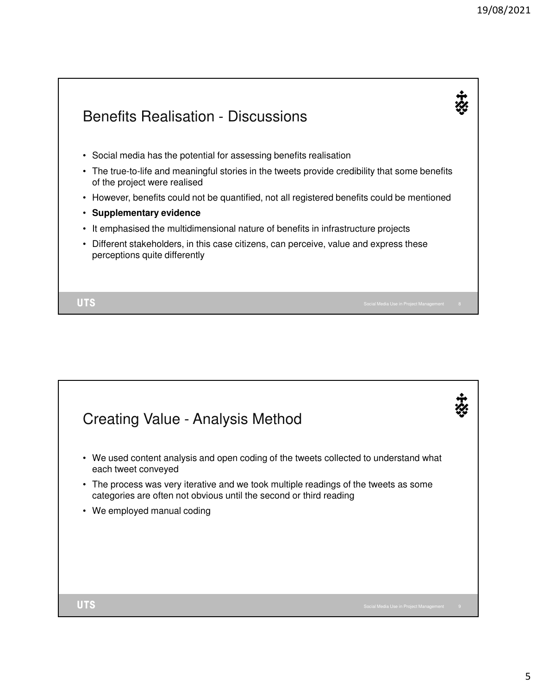

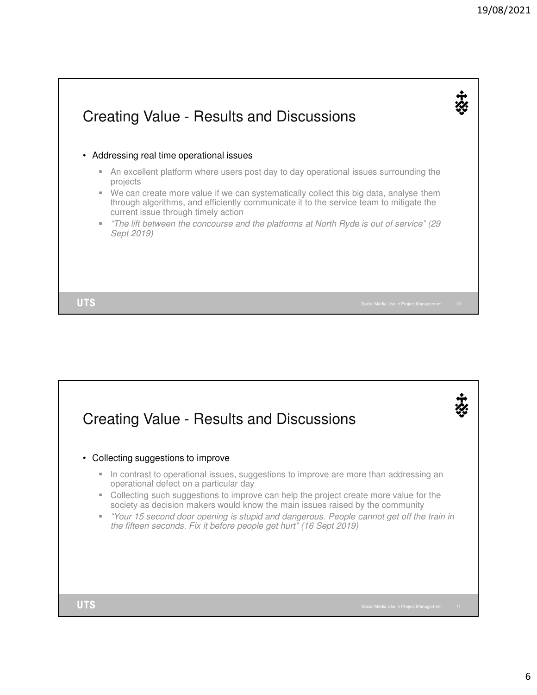

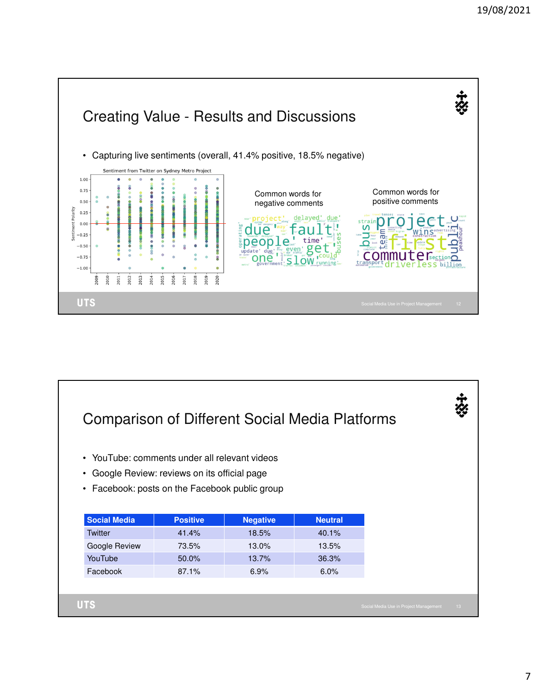

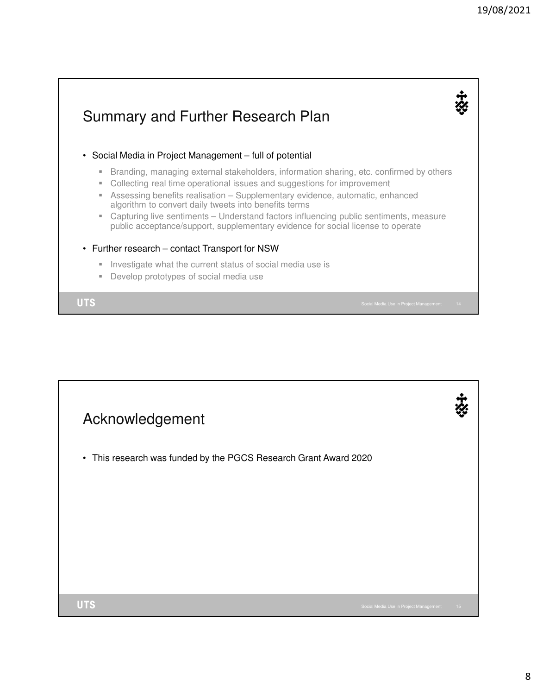